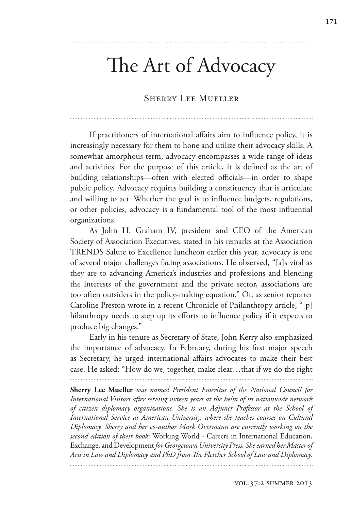# The Art of Advocacy

# SHERRY LEE MUELLER

If practitioners of international affairs aim to influence policy, it is increasingly necessary for them to hone and utilize their advocacy skills. A somewhat amorphous term, advocacy encompasses a wide range of ideas and activities. For the purpose of this article, it is defined as the art of building relationships—often with elected officials—in order to shape public policy. Advocacy requires building a constituency that is articulate and willing to act. Whether the goal is to influence budgets, regulations, or other policies, advocacy is a fundamental tool of the most influential organizations.

As John H. Graham IV, president and CEO of the American Society of Association Executives, stated in his remarks at the Association TRENDS Salute to Excellence luncheon earlier this year, advocacy is one of several major challenges facing associations. He observed, "[a]s vital as they are to advancing America's industries and professions and blending the interests of the government and the private sector, associations are too often outsiders in the policy-making equation." Or, as senior reporter Caroline Preston wrote in a recent Chronicle of Philanthropy article, "[p] hilanthropy needs to step up its efforts to influence policy if it expects to produce big changes."

Early in his tenure as Secretary of State, John Kerry also emphasized the importance of advocacy. In February, during his first major speech as Secretary, he urged international affairs advocates to make their best case. He asked: "How do we, together, make clear…that if we do the right

**Sherry Lee Mueller** *was named President Emeritus of the National Council for International Visitors after serving sixteen years at the helm of its nationwide network of citizen diplomacy organizations. She is an Adjunct Professor at the School of International Service at American University, where she teaches courses on Cultural Diplomacy. Sherry and her co-author Mark Overmann are currently working on the second edition of their book:* Working World - Careers in International Education, Exchange, and Development *for Georgetown University Press. She earned her Master of*  Arts in Law and Diplomacy and PhD from The Fletcher School of Law and Diplomacy.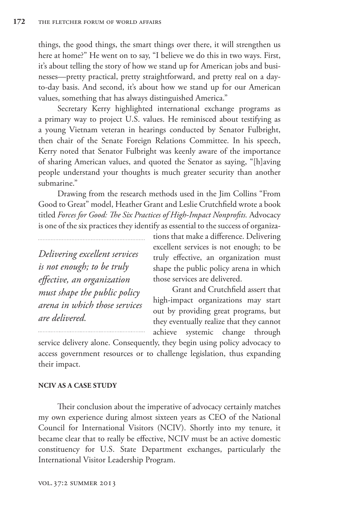things, the good things, the smart things over there, it will strengthen us here at home?" He went on to say, "I believe we do this in two ways. First, it's about telling the story of how we stand up for American jobs and businesses—pretty practical, pretty straightforward, and pretty real on a dayto-day basis. And second, it's about how we stand up for our American values, something that has always distinguished America."

Secretary Kerry highlighted international exchange programs as a primary way to project U.S. values. He reminisced about testifying as a young Vietnam veteran in hearings conducted by Senator Fulbright, then chair of the Senate Foreign Relations Committee. In his speech, Kerry noted that Senator Fulbright was keenly aware of the importance of sharing American values, and quoted the Senator as saying, "[h]aving people understand your thoughts is much greater security than another submarine."

Drawing from the research methods used in the Jim Collins "From Good to Great" model, Heather Grant and Leslie Crutchfield wrote a book titled *Forces for Good: The Six Practices of High-Impact Nonprofits.* Advocacy is one of the six practices they identify as essential to the success of organiza-

*Delivering excellent services is not enough; to be truly*   $effective,$  an organization *must shape the public policy arena in which those services are delivered.*

tions that make a difference. Delivering excellent services is not enough; to be truly effective, an organization must shape the public policy arena in which those services are delivered.

Grant and Crutchfield assert that high-impact organizations may start out by providing great programs, but they eventually realize that they cannot achieve systemic change through

service delivery alone. Consequently, they begin using policy advocacy to access government resources or to challenge legislation, thus expanding their impact.

## **NCIV AS A CASE STUDY**

Their conclusion about the imperative of advocacy certainly matches my own experience during almost sixteen years as CEO of the National Council for International Visitors (NCIV). Shortly into my tenure, it became clear that to really be effective, NCIV must be an active domestic constituency for U.S. State Department exchanges, particularly the International Visitor Leadership Program.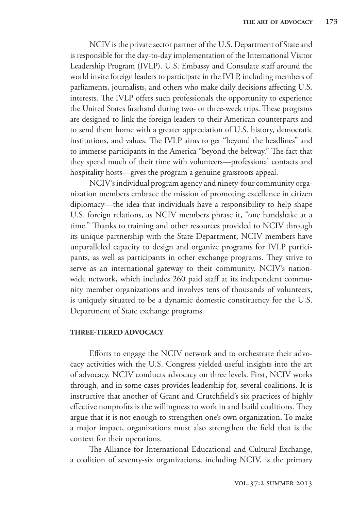NCIV is the private sector partner of the U.S. Department of State and is responsible for the day-to-day implementation of the International Visitor Leadership Program (IVLP). U.S. Embassy and Consulate staff around the world invite foreign leaders to participate in the IVLP, including members of parliaments, journalists, and others who make daily decisions affecting U.S. interests. The IVLP offers such professionals the opportunity to experience the United States firsthand during two- or three-week trips. These programs are designed to link the foreign leaders to their American counterparts and to send them home with a greater appreciation of U.S. history, democratic institutions, and values. The IVLP aims to get "beyond the headlines" and to immerse participants in the America "beyond the beltway." The fact that they spend much of their time with volunteers—professional contacts and hospitality hosts—gives the program a genuine grassroots appeal.

NCIV's individual program agency and ninety-four community organization members embrace the mission of promoting excellence in citizen diplomacy—the idea that individuals have a responsibility to help shape U.S. foreign relations, as NCIV members phrase it, "one handshake at a time." Thanks to training and other resources provided to NCIV through its unique partnership with the State Department, NCIV members have unparalleled capacity to design and organize programs for IVLP participants, as well as participants in other exchange programs. They strive to serve as an international gateway to their community. NCIV's nationwide network, which includes 260 paid staff at its independent community member organizations and involves tens of thousands of volunteers, is uniquely situated to be a dynamic domestic constituency for the U.S. Department of State exchange programs.

### **THREE-TIERED ADVOCACY**

Efforts to engage the NCIV network and to orchestrate their advocacy activities with the U.S. Congress yielded useful insights into the art of advocacy. NCIV conducts advocacy on three levels. First, NCIV works through, and in some cases provides leadership for, several coalitions. It is instructive that another of Grant and Crutchfield's six practices of highly effective nonprofits is the willingness to work in and build coalitions. They argue that it is not enough to strengthen one's own organization. To make a major impact, organizations must also strengthen the field that is the context for their operations.

The Alliance for International Educational and Cultural Exchange, a coalition of seventy-six organizations, including NCIV, is the primary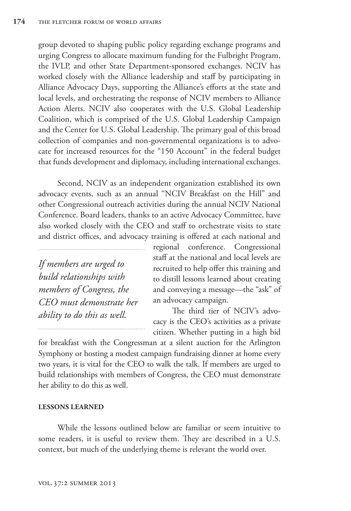group devoted to shaping public policy regarding exchange programs and urging Congress to allocate maximum funding for the Fulbright Program, the IVLP, and other State Department-sponsored exchanges. NCIV has worked closely with the Alliance leadership and staff by participating in Alliance Advocacy Days, supporting the Alliance's efforts at the state and local levels, and orchestrating the response of NCIV members to Alliance Action Alerts. NCIV also cooperates with the U.S. Global Leadership Coalition, which is comprised of the U.S. Global Leadership Campaign and the Center for U.S. Global Leadership. The primary goal of this broad collection of companies and non-governmental organizations is to advocate for increased resources for the "150 Account" in the federal budget that funds development and diplomacy, including international exchanges.

Second, NCIV as an independent organization established its own advocacy events, such as an annual "NCIV Breakfast on the Hill" and other Congressional outreach activities during the annual NCIV National Conference. Board leaders, thanks to an active Advocacy Committee, have also worked closely with the CEO and staff to orchestrate visits to state and district offices, and advocacy training is offered at each national and

*If members are urged to build relationships with members of Congress, the CEO must demonstrate her ability to do this as well.*

regional conference. Congressional staff at the national and local levels are recruited to help offer this training and to distill lessons learned about creating and conveying a message—the "ask" of an advocacy campaign.

The third tier of NCIV's advocacy is the CEO's activities as a private citizen. Whether putting in a high bid

for breakfast with the Congressman at a silent auction for the Arlington Symphony or hosting a modest campaign fundraising dinner at home every two years, it is vital for the CEO to walk the talk. If members are urged to build relationships with members of Congress, the CEO must demonstrate her ability to do this as well.

### **LESSONS LEARNED**

While the lessons outlined below are familiar or seem intuitive to some readers, it is useful to review them. They are described in a U.S. context, but much of the underlying theme is relevant the world over.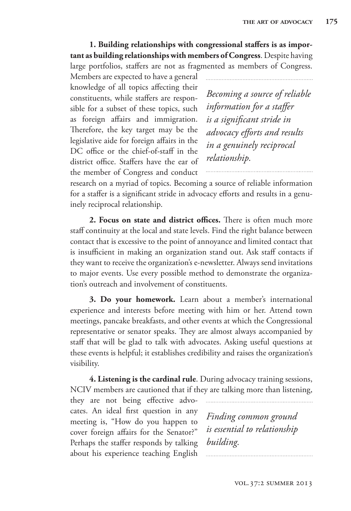1. Building relationships with congressional staffers is as impor**tant as building relationships with members of Congress**. Despite having large portfolios, staffers are not as fragmented as members of Congress.

Members are expected to have a general knowledge of all topics affecting their constituents, while staffers are responsible for a subset of these topics, such as foreign affairs and immigration. Therefore, the key target may be the legislative aide for foreign affairs in the DC office or the chief-of-staff in the district office. Staffers have the ear of the member of Congress and conduct

*Becoming a source of reliable information for a staffer is a significant stride in advocacy e#orts and results in a genuinely reciprocal relationship.*

research on a myriad of topics. Becoming a source of reliable information for a staffer is a significant stride in advocacy efforts and results in a genuinely reciprocal relationship.

**2. Focus on state and district offices.** There is often much more staff continuity at the local and state levels. Find the right balance between contact that is excessive to the point of annoyance and limited contact that is insufficient in making an organization stand out. Ask staff contacts if they want to receive the organization's e-newsletter. Always send invitations to major events. Use every possible method to demonstrate the organization's outreach and involvement of constituents.

**3. Do your homework.** Learn about a member's international experience and interests before meeting with him or her. Attend town meetings, pancake breakfasts, and other events at which the Congressional representative or senator speaks. They are almost always accompanied by staff that will be glad to talk with advocates. Asking useful questions at these events is helpful; it establishes credibility and raises the organization's visibility.

**4. Listening is the cardinal rule**. During advocacy training sessions, NCIV members are cautioned that if they are talking more than listening,

they are not being effective advocates. An ideal first question in any meeting is, "How do you happen to cover foreign affairs for the Senator?" Perhaps the staffer responds by talking about his experience teaching English

*Finding common ground is essential to relationship building.*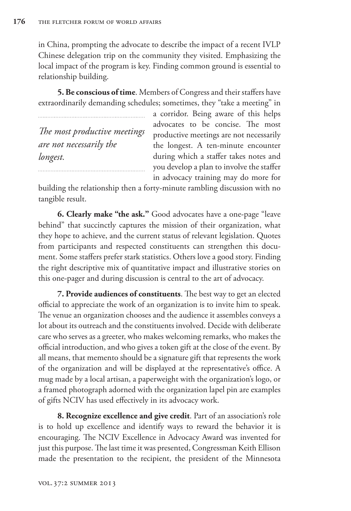in China, prompting the advocate to describe the impact of a recent IVLP Chinese delegation trip on the community they visited. Emphasizing the local impact of the program is key. Finding common ground is essential to relationship building.

**5. Be conscious of time.** Members of Congress and their staffers have extraordinarily demanding schedules; sometimes, they "take a meeting" in

*The most productive meetings are not necessarily the longest.*

a corridor. Being aware of this helps advocates to be concise. The most productive meetings are not necessarily the longest. A ten-minute encounter during which a staffer takes notes and you develop a plan to involve the staffer in advocacy training may do more for

building the relationship then a forty-minute rambling discussion with no tangible result.

**6. Clearly make "the ask."** Good advocates have a one-page "leave behind" that succinctly captures the mission of their organization, what they hope to achieve, and the current status of relevant legislation. Quotes from participants and respected constituents can strengthen this document. Some staffers prefer stark statistics. Others love a good story. Finding the right descriptive mix of quantitative impact and illustrative stories on this one-pager and during discussion is central to the art of advocacy.

**7. Provide audiences of constituents**. The best way to get an elected official to appreciate the work of an organization is to invite him to speak. The venue an organization chooses and the audience it assembles conveys a lot about its outreach and the constituents involved. Decide with deliberate care who serves as a greeter, who makes welcoming remarks, who makes the official introduction, and who gives a token gift at the close of the event. By all means, that memento should be a signature gift that represents the work of the organization and will be displayed at the representative's office. A mug made by a local artisan, a paperweight with the organization's logo, or a framed photograph adorned with the organization lapel pin are examples of gifts NCIV has used effectively in its advocacy work.

**8. Recognize excellence and give credit**. Part of an association's role is to hold up excellence and identify ways to reward the behavior it is encouraging. The NCIV Excellence in Advocacy Award was invented for just this purpose. The last time it was presented, Congressman Keith Ellison made the presentation to the recipient, the president of the Minnesota